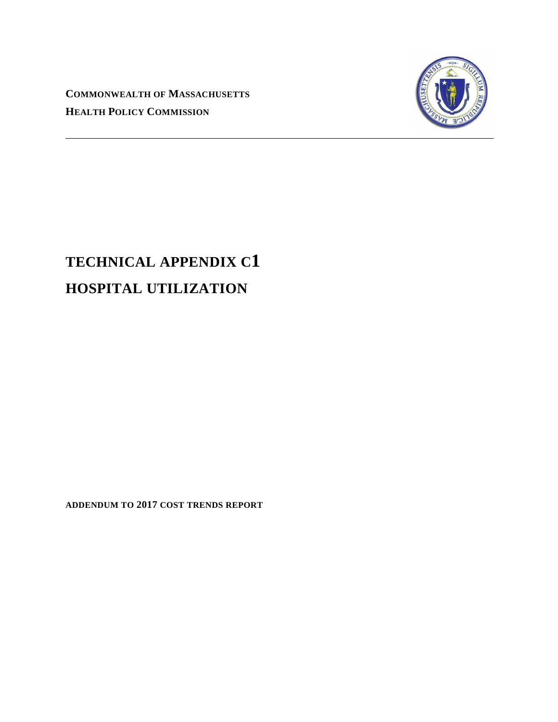**COMMONWEALTH OF MASSACHUSETTS HEALTH POLICY COMMISSION**



# **TECHNICAL APPENDIX C1 HOSPITAL UTILIZATION**

**ADDENDUM TO 2017 COST TRENDS REPORT**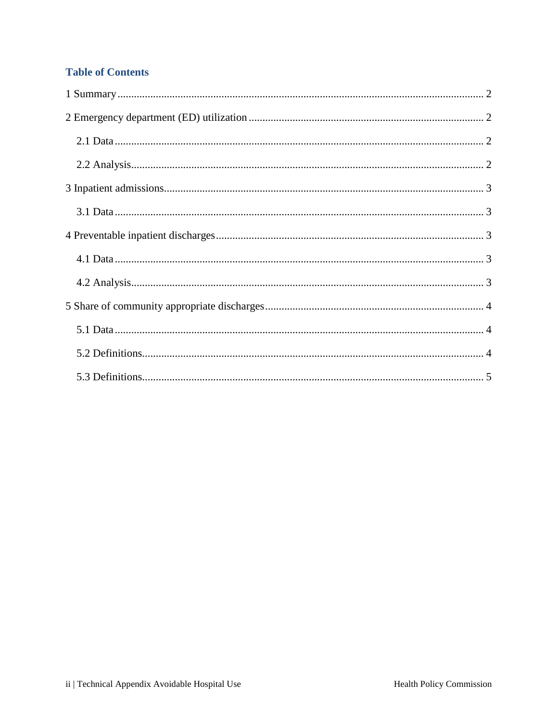# **Table of Contents**

<span id="page-1-0"></span>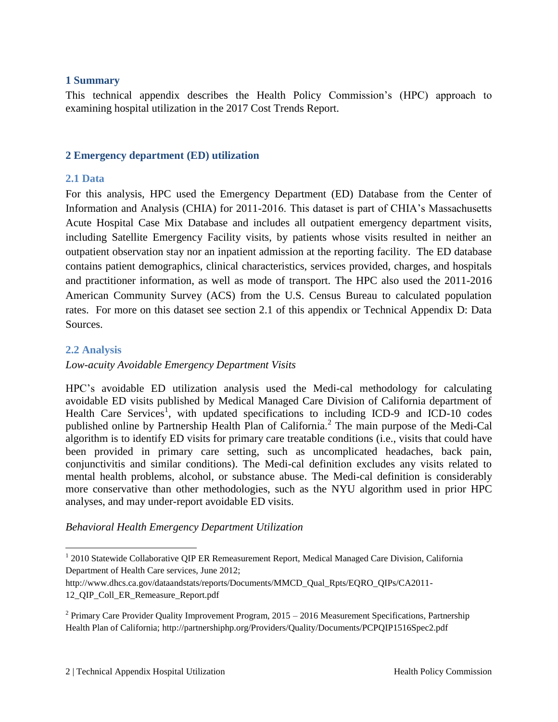#### **1 Summary**

This technical appendix describes the Health Policy Commission's (HPC) approach to examining hospital utilization in the 2017 Cost Trends Report.

#### <span id="page-2-0"></span>**2 Emergency department (ED) utilization**

#### <span id="page-2-1"></span>**2.1 Data**

For this analysis, HPC used the Emergency Department (ED) Database from the Center of Information and Analysis (CHIA) for 2011-2016. This dataset is part of CHIA's Massachusetts Acute Hospital Case Mix Database and includes all outpatient emergency department visits, including Satellite Emergency Facility visits, by patients whose visits resulted in neither an outpatient observation stay nor an inpatient admission at the reporting facility. The ED database contains patient demographics, clinical characteristics, services provided, charges, and hospitals and practitioner information, as well as mode of transport. The HPC also used the 2011-2016 American Community Survey (ACS) from the U.S. Census Bureau to calculated population rates. For more on this dataset see section 2.1 of this appendix or Technical Appendix D: Data Sources.

### <span id="page-2-2"></span>**2.2 Analysis**

 $\overline{a}$ 

#### *Low-acuity Avoidable Emergency Department Visits*

HPC's avoidable ED utilization analysis used the Medi-cal methodology for calculating avoidable ED visits published by Medical Managed Care Division of California department of Health Care Services<sup>1</sup>, with updated specifications to including ICD-9 and ICD-10 codes published online by Partnership Health Plan of California.<sup>2</sup> The main purpose of the Medi-Cal algorithm is to identify ED visits for primary care treatable conditions (i.e., visits that could have been provided in primary care setting, such as uncomplicated headaches, back pain, conjunctivitis and similar conditions). The Medi-cal definition excludes any visits related to mental health problems, alcohol, or substance abuse. The Medi-cal definition is considerably more conservative than other methodologies, such as the NYU algorithm used in prior HPC analyses, and may under-report avoidable ED visits.

#### *Behavioral Health Emergency Department Utilization*

http://www.dhcs.ca.gov/dataandstats/reports/Documents/MMCD\_Qual\_Rpts/EQRO\_QIPs/CA2011- 12\_OIP\_Coll\_ER\_Remeasure\_Report.pdf

<sup>&</sup>lt;sup>1</sup> 2010 Statewide Collaborative QIP ER Remeasurement Report, Medical Managed Care Division, California Department of Health Care services, June 2012;

<sup>&</sup>lt;sup>2</sup> Primary Care Provider Quality Improvement Program,  $2015 - 2016$  Measurement Specifications, Partnership Health Plan of California; http://partnershiphp.org/Providers/Quality/Documents/PCPQIP1516Spec2.pdf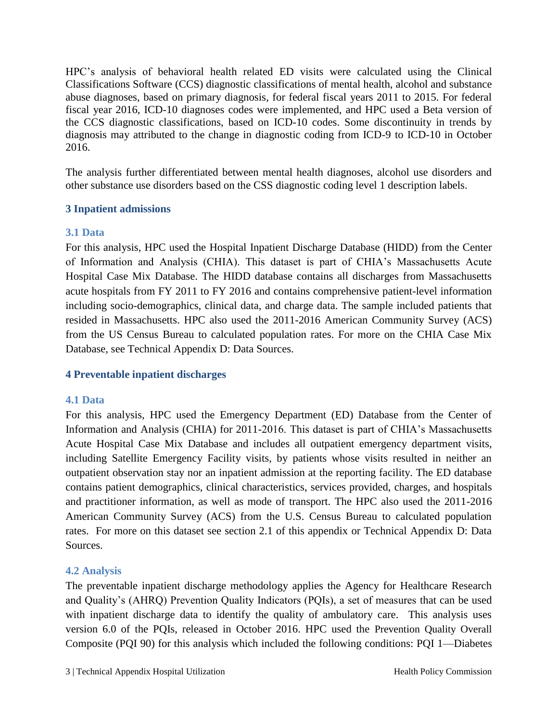HPC's analysis of behavioral health related ED visits were calculated using the Clinical Classifications Software (CCS) diagnostic classifications of mental health, alcohol and substance abuse diagnoses, based on primary diagnosis, for federal fiscal years 2011 to 2015. For federal fiscal year 2016, ICD-10 diagnoses codes were implemented, and HPC used a Beta version of the CCS diagnostic classifications, based on ICD-10 codes. Some discontinuity in trends by diagnosis may attributed to the change in diagnostic coding from ICD-9 to ICD-10 in October 2016.

The analysis further differentiated between mental health diagnoses, alcohol use disorders and other substance use disorders based on the CSS diagnostic coding level 1 description labels.

# <span id="page-3-0"></span>**3 Inpatient admissions**

# <span id="page-3-1"></span>**3.1 Data**

For this analysis, HPC used the Hospital Inpatient Discharge Database (HIDD) from the Center of Information and Analysis (CHIA). This dataset is part of CHIA's Massachusetts Acute Hospital Case Mix Database. The HIDD database contains all discharges from Massachusetts acute hospitals from FY 2011 to FY 2016 and contains comprehensive patient-level information including socio-demographics, clinical data, and charge data. The sample included patients that resided in Massachusetts. HPC also used the 2011-2016 American Community Survey (ACS) from the US Census Bureau to calculated population rates. For more on the CHIA Case Mix Database, see Technical Appendix D: Data Sources.

# <span id="page-3-2"></span>**4 Preventable inpatient discharges**

# <span id="page-3-3"></span>**4.1 Data**

For this analysis, HPC used the Emergency Department (ED) Database from the Center of Information and Analysis (CHIA) for 2011-2016. This dataset is part of CHIA's Massachusetts Acute Hospital Case Mix Database and includes all outpatient emergency department visits, including Satellite Emergency Facility visits, by patients whose visits resulted in neither an outpatient observation stay nor an inpatient admission at the reporting facility. The ED database contains patient demographics, clinical characteristics, services provided, charges, and hospitals and practitioner information, as well as mode of transport. The HPC also used the 2011-2016 American Community Survey (ACS) from the U.S. Census Bureau to calculated population rates. For more on this dataset see section 2.1 of this appendix or Technical Appendix D: Data Sources.

# <span id="page-3-4"></span>**4.2 Analysis**

The preventable inpatient discharge methodology applies the Agency for Healthcare Research and Quality's (AHRQ) Prevention Quality Indicators (PQIs), a set of measures that can be used with inpatient discharge data to identify the quality of ambulatory care. This analysis uses version 6.0 of the PQIs, released in October 2016. HPC used the Prevention Quality Overall Composite (PQI 90) for this analysis which included the following conditions: PQI 1—Diabetes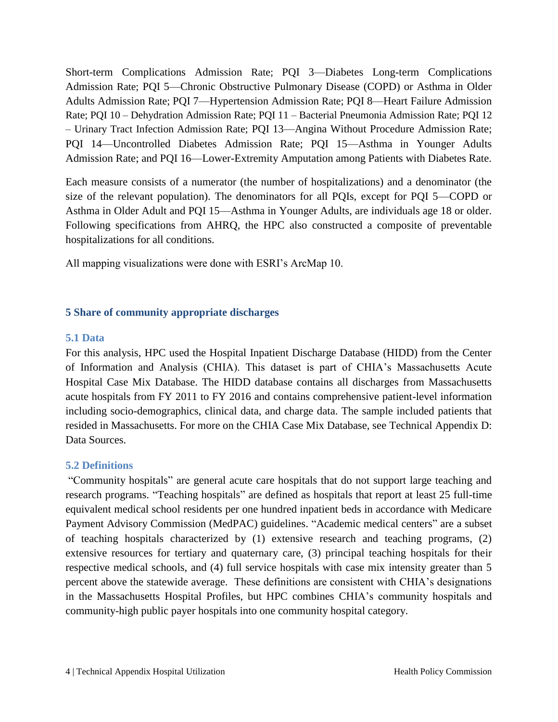Short-term Complications Admission Rate; PQI 3—Diabetes Long-term Complications Admission Rate; PQI 5—Chronic Obstructive Pulmonary Disease (COPD) or Asthma in Older Adults Admission Rate; PQI 7—Hypertension Admission Rate; PQI 8—Heart Failure Admission Rate; PQI 10 – Dehydration Admission Rate; PQI 11 – Bacterial Pneumonia Admission Rate; PQI 12 – Urinary Tract Infection Admission Rate; PQI 13—Angina Without Procedure Admission Rate; PQI 14—Uncontrolled Diabetes Admission Rate; PQI 15—Asthma in Younger Adults Admission Rate; and PQI 16—Lower-Extremity Amputation among Patients with Diabetes Rate.

Each measure consists of a numerator (the number of hospitalizations) and a denominator (the size of the relevant population). The denominators for all PQIs, except for PQI 5—COPD or Asthma in Older Adult and PQI 15—Asthma in Younger Adults, are individuals age 18 or older. Following specifications from AHRQ, the HPC also constructed a composite of preventable hospitalizations for all conditions.

All mapping visualizations were done with ESRI's ArcMap 10.

# <span id="page-4-0"></span>**5 Share of community appropriate discharges**

### <span id="page-4-1"></span>**5.1 Data**

For this analysis, HPC used the Hospital Inpatient Discharge Database (HIDD) from the Center of Information and Analysis (CHIA). This dataset is part of CHIA's Massachusetts Acute Hospital Case Mix Database. The HIDD database contains all discharges from Massachusetts acute hospitals from FY 2011 to FY 2016 and contains comprehensive patient-level information including socio-demographics, clinical data, and charge data. The sample included patients that resided in Massachusetts. For more on the CHIA Case Mix Database, see Technical Appendix D: Data Sources.

# <span id="page-4-2"></span>**5.2 Definitions**

"Community hospitals" are general acute care hospitals that do not support large teaching and research programs. "Teaching hospitals" are defined as hospitals that report at least 25 full-time equivalent medical school residents per one hundred inpatient beds in accordance with Medicare Payment Advisory Commission (MedPAC) guidelines. "Academic medical centers" are a subset of teaching hospitals characterized by (1) extensive research and teaching programs, (2) extensive resources for tertiary and quaternary care, (3) principal teaching hospitals for their respective medical schools, and (4) full service hospitals with case mix intensity greater than 5 percent above the statewide average. These definitions are consistent with CHIA's designations in the Massachusetts Hospital Profiles, but HPC combines CHIA's community hospitals and community-high public payer hospitals into one community hospital category.